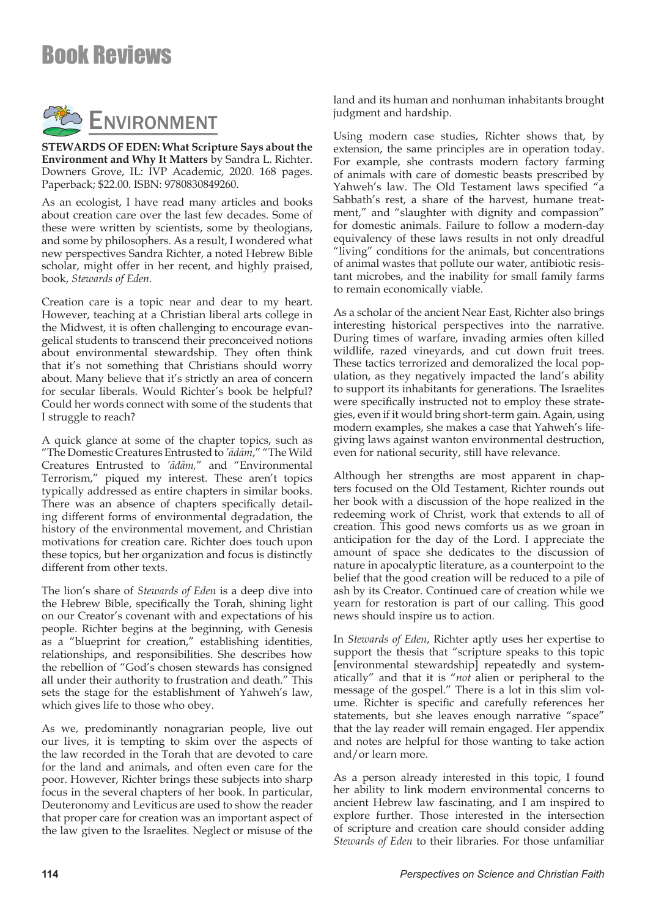

**STEWARDS OF EDEN: What Scripture Says about the Environment and Why It Matters** by Sandra L. Richter. Downers Grove, IL: IVP Academic, 2020. 168 pages. Paperback; \$22.00. ISBN: 9780830849260.

As an ecologist, I have read many articles and books about creation care over the last few decades. Some of these were written by scientists, some by theologians, and some by philosophers. As a result, I wondered what new perspectives Sandra Richter, a noted Hebrew Bible scholar, might offer in her recent, and highly praised, book, *Stewards of Eden*.

Creation care is a topic near and dear to my heart. However, teaching at a Christian liberal arts college in the Midwest, it is often challenging to encourage evangelical students to transcend their preconceived notions about environmental stewardship. They often think that it's not something that Christians should worry about. Many believe that it's strictly an area of concern for secular liberals. Would Richter's book be helpful? Could her words connect with some of the students that I struggle to reach?

A quick glance at some of the chapter topics, such as "The Domestic Creatures Entrusted to *'ādām*," "The Wild Creatures Entrusted to *'ādām,*" and "Environmental Terrorism," piqued my interest. These aren't topics typically addressed as entire chapters in similar books. There was an absence of chapters specifically detailing different forms of environmental degradation, the history of the environmental movement, and Christian motivations for creation care. Richter does touch upon these topics, but her organization and focus is distinctly different from other texts.

The lion's share of *Stewards of Eden* is a deep dive into the Hebrew Bible, specifically the Torah, shining light on our Creator's covenant with and expectations of his people. Richter begins at the beginning, with Genesis as a "blueprint for creation," establishing identities, relationships, and responsibilities. She describes how the rebellion of "God's chosen stewards has consigned all under their authority to frustration and death." This sets the stage for the establishment of Yahweh's law, which gives life to those who obey.

As we, predominantly nonagrarian people, live out our lives, it is tempting to skim over the aspects of the law recorded in the Torah that are devoted to care for the land and animals, and often even care for the poor. However, Richter brings these subjects into sharp focus in the several chapters of her book. In particular, Deuteronomy and Leviticus are used to show the reader that proper care for creation was an important aspect of the law given to the Israelites. Neglect or misuse of the

land and its human and nonhuman inhabitants brought judgment and hardship.

Using modern case studies, Richter shows that, by extension, the same principles are in operation today. For example, she contrasts modern factory farming of animals with care of domestic beasts prescribed by Yahweh's law. The Old Testament laws specified "a Sabbath's rest, a share of the harvest, humane treatment," and "slaughter with dignity and compassion" for domestic animals. Failure to follow a modern-day equivalency of these laws results in not only dreadful "living" conditions for the animals, but concentrations of animal wastes that pollute our water, antibiotic resistant microbes, and the inability for small family farms to remain economically viable.

As a scholar of the ancient Near East, Richter also brings interesting historical perspectives into the narrative. During times of warfare, invading armies often killed wildlife, razed vineyards, and cut down fruit trees. These tactics terrorized and demoralized the local population, as they negatively impacted the land's ability to support its inhabitants for generations. The Israelites were specifically instructed not to employ these strategies, even if it would bring short-term gain. Again, using modern examples, she makes a case that Yahweh's lifegiving laws against wanton environmental destruction, even for national security, still have relevance.

Although her strengths are most apparent in chapters focused on the Old Testament, Richter rounds out her book with a discussion of the hope realized in the redeeming work of Christ, work that extends to all of creation. This good news comforts us as we groan in anticipation for the day of the Lord. I appreciate the amount of space she dedicates to the discussion of nature in apocalyptic literature, as a counterpoint to the belief that the good creation will be reduced to a pile of ash by its Creator. Continued care of creation while we yearn for restoration is part of our calling. This good news should inspire us to action.

In *Stewards of Eden*, Richter aptly uses her expertise to support the thesis that "scripture speaks to this topic [environmental stewardship] repeatedly and systematically" and that it is "*not* alien or peripheral to the message of the gospel." There is a lot in this slim volume. Richter is specific and carefully references her statements, but she leaves enough narrative "space" that the lay reader will remain engaged. Her appendix and notes are helpful for those wanting to take action and/or learn more.

As a person already interested in this topic, I found her ability to link modern environmental concerns to ancient Hebrew law fascinating, and I am inspired to explore further. Those interested in the intersection of scripture and creation care should consider adding *Stewards of Eden* to their libraries. For those unfamiliar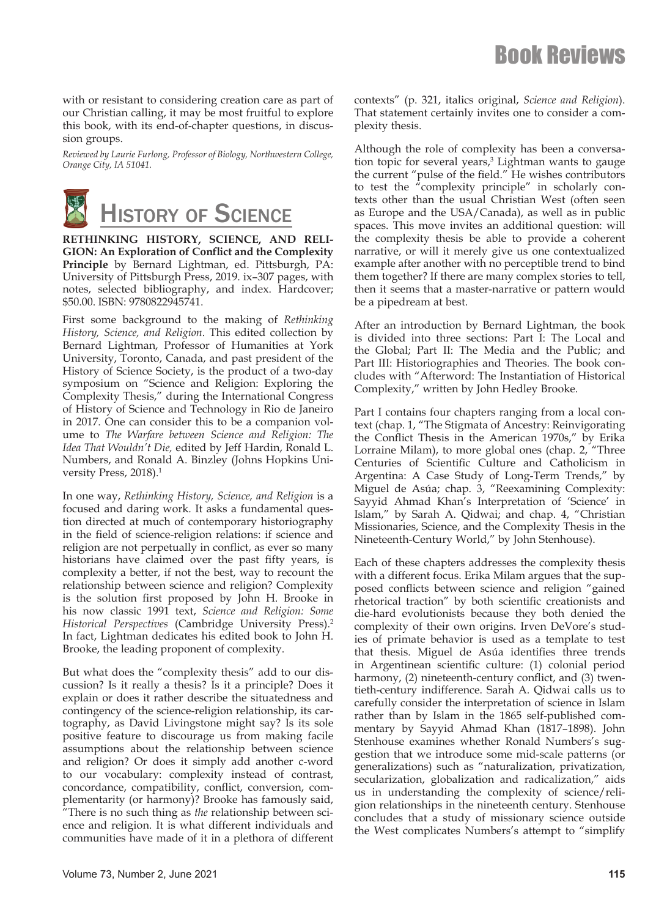with or resistant to considering creation care as part of our Christian calling, it may be most fruitful to explore this book, with its end-of-chapter questions, in discussion groups.

*Reviewed by Laurie Furlong, Professor of Biology, Northwestern College, Orange City, IA 51041.*



**RETHINKING HISTORY, SCIENCE, AND RELI-GION: An Exploration of Conflict and the Complexity Principle** by Bernard Lightman, ed. Pittsburgh, PA: University of Pittsburgh Press, 2019. ix–307 pages, with notes, selected bibliography, and index. Hardcover; \$50.00. ISBN: 9780822945741.

First some background to the making of *Rethinking History, Science, and Religion*. This edited collection by Bernard Lightman, Professor of Humanities at York University, Toronto, Canada, and past president of the History of Science Society, is the product of a two-day symposium on "Science and Religion: Exploring the Complexity Thesis," during the International Congress of History of Science and Technology in Rio de Janeiro in 2017. One can consider this to be a companion volume to *The Warfare between Science and Religion: The Idea That Wouldn't Die,* edited by Jeff Hardin, Ronald L. Numbers, and Ronald A. Binzley (Johns Hopkins University Press, 2018).<sup>1</sup>

In one way, *Rethinking History, Science, and Religion* is a focused and daring work. It asks a fundamental question directed at much of contemporary historiography in the field of science-religion relations: if science and religion are not perpetually in conflict, as ever so many historians have claimed over the past fifty years, is complexity a better, if not the best, way to recount the relationship between science and religion? Complexity is the solution first proposed by John H. Brooke in his now classic 1991 text, *Science and Religion: Some Historical Perspectives* (Cambridge University Press).2 In fact, Lightman dedicates his edited book to John H. Brooke, the leading proponent of complexity.

But what does the "complexity thesis" add to our discussion? Is it really a thesis? Is it a principle? Does it explain or does it rather describe the situatedness and contingency of the science-religion relationship, its cartography, as David Livingstone might say? Is its sole positive feature to discourage us from making facile assumptions about the relationship between science and religion? Or does it simply add another c-word to our vocabulary: complexity instead of contrast, concordance, compatibility, conflict, conversion, complementarity (or harmony)? Brooke has famously said, "There is no such thing as *the* relationship between science and religion. It is what different individuals and communities have made of it in a plethora of different contexts" (p. 321, italics original, *Science and Religion*). That statement certainly invites one to consider a complexity thesis.

Although the role of complexity has been a conversation topic for several years,<sup>3</sup> Lightman wants to gauge the current "pulse of the field." He wishes contributors to test the "complexity principle" in scholarly contexts other than the usual Christian West (often seen as Europe and the USA/Canada), as well as in public spaces. This move invites an additional question: will the complexity thesis be able to provide a coherent narrative, or will it merely give us one contextualized example after another with no perceptible trend to bind them together? If there are many complex stories to tell, then it seems that a master-narrative or pattern would be a pipedream at best.

After an introduction by Bernard Lightman, the book is divided into three sections: Part I: The Local and the Global; Part II: The Media and the Public; and Part III: Historiographies and Theories. The book concludes with "Afterword: The Instantiation of Historical Complexity," written by John Hedley Brooke.

Part I contains four chapters ranging from a local context (chap. 1, "The Stigmata of Ancestry: Reinvigorating the Conflict Thesis in the American 1970s," by Erika Lorraine Milam), to more global ones (chap. 2, "Three Centuries of Scientific Culture and Catholicism in Argentina: A Case Study of Long-Term Trends," by Miguel de Asúa; chap. 3, "Reexamining Complexity: Sayyid Ahmad Khan's Interpretation of 'Science' in Islam," by Sarah A. Qidwai; and chap. 4, "Christian Missionaries, Science, and the Complexity Thesis in the Nineteenth-Century World," by John Stenhouse).

Each of these chapters addresses the complexity thesis with a different focus. Erika Milam argues that the supposed conflicts between science and religion "gained rhetorical traction" by both scientific creationists and die-hard evolutionists because they both denied the complexity of their own origins. Irven DeVore's studies of primate behavior is used as a template to test that thesis. Miguel de Asúa identifies three trends in Argentinean scientific culture: (1) colonial period harmony, (2) nineteenth-century conflict, and (3) twentieth-century indifference. Sarah A. Qidwai calls us to carefully consider the interpretation of science in Islam rather than by Islam in the 1865 self-published commentary by Sayyid Ahmad Khan (1817–1898). John Stenhouse examines whether Ronald Numbers's suggestion that we introduce some mid-scale patterns (or generalizations) such as "naturalization, privatization, secularization, globalization and radicalization," aids us in understanding the complexity of science/religion relationships in the nineteenth century. Stenhouse concludes that a study of missionary science outside the West complicates Numbers's attempt to "simplify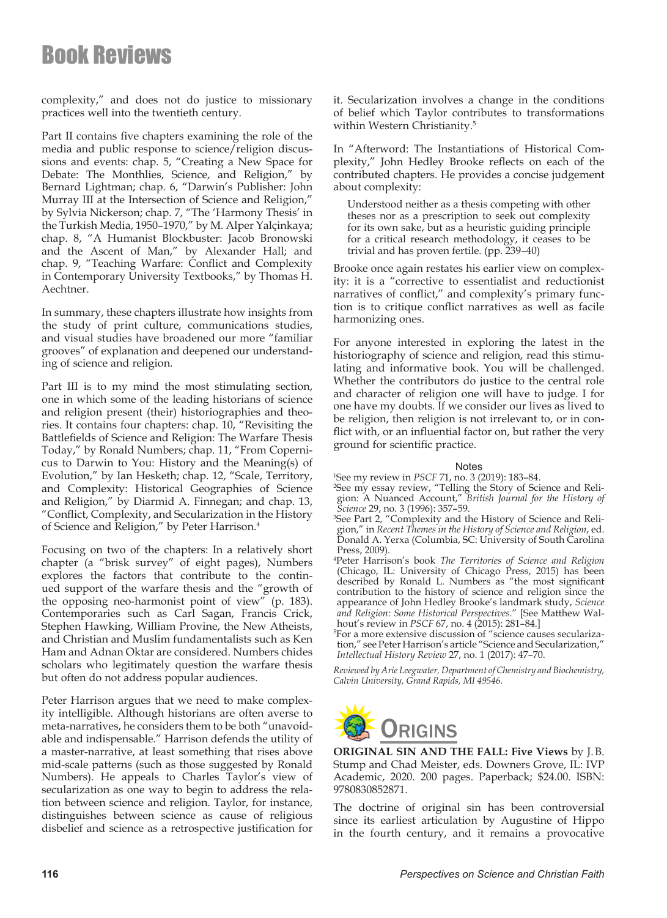complexity," and does not do justice to missionary practices well into the twentieth century.

Part II contains five chapters examining the role of the media and public response to science/religion discussions and events: chap. 5, "Creating a New Space for Debate: The Monthlies, Science, and Religion," by Bernard Lightman; chap. 6, "Darwin's Publisher: John Murray III at the Intersection of Science and Religion," by Sylvia Nickerson; chap. 7, "The 'Harmony Thesis' in the Turkish Media, 1950–1970," by M. Alper Yalçinkaya; chap. 8, "A Humanist Blockbuster: Jacob Bronowski and the Ascent of Man," by Alexander Hall; and chap. 9, "Teaching Warfare: Conflict and Complexity in Contemporary University Textbooks," by Thomas H. Aechtner.

In summary, these chapters illustrate how insights from the study of print culture, communications studies, and visual studies have broadened our more "familiar grooves" of explanation and deepened our understanding of science and religion.

Part III is to my mind the most stimulating section, one in which some of the leading historians of science and religion present (their) historiographies and theories. It contains four chapters: chap. 10, "Revisiting the Battlefields of Science and Religion: The Warfare Thesis Today," by Ronald Numbers; chap. 11, "From Copernicus to Darwin to You: History and the Meaning(s) of Evolution," by Ian Hesketh; chap. 12, "Scale, Territory, and Complexity: Historical Geographies of Science and Religion," by Diarmid A. Finnegan; and chap. 13, "Conflict, Complexity, and Secularization in the History of Science and Religion," by Peter Harrison.4

Focusing on two of the chapters: In a relatively short chapter (a "brisk survey" of eight pages), Numbers explores the factors that contribute to the continued support of the warfare thesis and the "growth of the opposing neo-harmonist point of view" (p. 183). Contemporaries such as Carl Sagan, Francis Crick, Stephen Hawking, William Provine, the New Atheists, and Christian and Muslim fundamentalists such as Ken Ham and Adnan Oktar are considered. Numbers chides scholars who legitimately question the warfare thesis but often do not address popular audiences.

Peter Harrison argues that we need to make complexity intelligible. Although historians are often averse to meta-narratives, he considers them to be both "unavoidable and indispensable." Harrison defends the utility of a master-narrative, at least something that rises above mid-scale patterns (such as those suggested by Ronald Numbers). He appeals to Charles Taylor's view of secularization as one way to begin to address the relation between science and religion. Taylor, for instance, distinguishes between science as cause of religious disbelief and science as a retrospective justification for

it. Secularization involves a change in the conditions of belief which Taylor contributes to transformations within Western Christianity.<sup>5</sup>

In "Afterword: The Instantiations of Historical Complexity," John Hedley Brooke reflects on each of the contributed chapters. He provides a concise judgement about complexity:

Understood neither as a thesis competing with other theses nor as a prescription to seek out complexity for its own sake, but as a heuristic guiding principle for a critical research methodology, it ceases to be trivial and has proven fertile. (pp. 239–40)

Brooke once again restates his earlier view on complexity: it is a "corrective to essentialist and reductionist narratives of conflict," and complexity's primary function is to critique conflict narratives as well as facile harmonizing ones.

For anyone interested in exploring the latest in the historiography of science and religion, read this stimulating and informative book. You will be challenged. Whether the contributors do justice to the central role and character of religion one will have to judge. I for one have my doubts. If we consider our lives as lived to be religion, then religion is not irrelevant to, or in conflict with, or an influential factor on, but rather the very ground for scientific practice.

#### Notes

1 See my review in *PSCF* 71, no. 3 (2019): 183–84.

2 See my essay review, "Telling the Story of Science and Religion: A Nuanced Account," *British Journal for the History of* 

*Science* 29, no. 3 (1996): 357–59.<br><sup>3</sup>See Part 2, "Complexity and the History of Science and Religion," in *Recent Themes in the History of Science and Religion*, ed. Donald A. Yerxa (Columbia, SC: University of South Carolina Press, 2009).

4 Peter Harrison's book *The Territories of Science and Religion* (Chicago, IL: University of Chicago Press, 2015) has been described by Ronald L. Numbers as "the most significant contribution to the history of science and religion since the appearance of John Hedley Brooke's landmark study, *Science and Religion: Some Historical Perspectives*." [See Matthew Walhout's review in *PSCF* 67, no. 4 (2015): 281–84.]

5 For a more extensive discussion of "science causes secularization," see Peter Harrison's article "Science and Secularization," *Intellectual History Review* 27, no. 1 (2017): 47–70.

*Reviewed by Arie Leegwater, Department of Chemistry and Biochemistry, Calvin University, Grand Rapids, MI 49546.*



**ORIGINAL SIN AND THE FALL: Five Views** by J.B. Stump and Chad Meister, eds. Downers Grove, IL: IVP Academic, 2020. 200 pages. Paperback; \$24.00. ISBN: 9780830852871.

The doctrine of original sin has been controversial since its earliest articulation by Augustine of Hippo in the fourth century, and it remains a provocative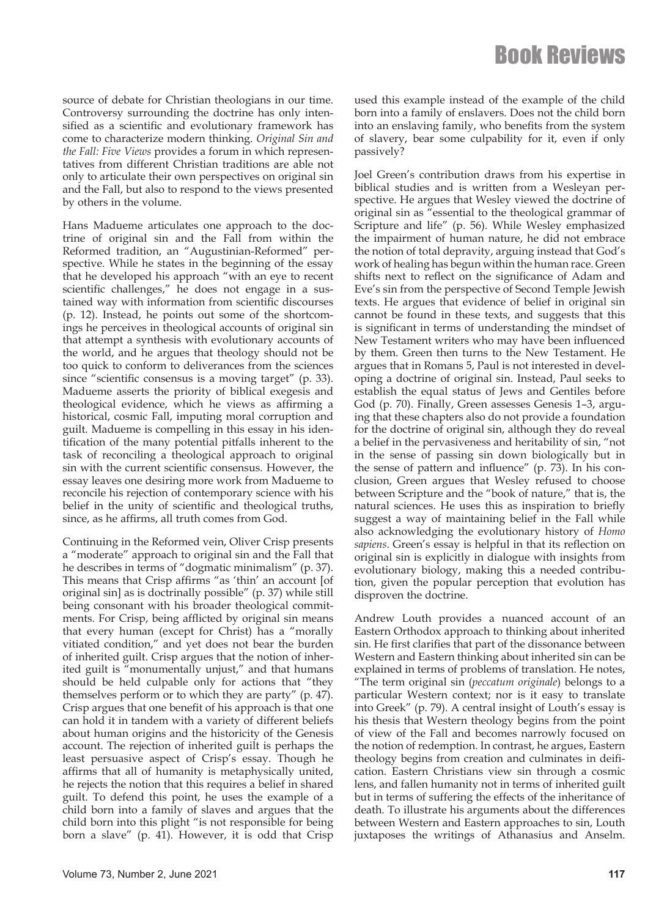source of debate for Christian theologians in our time. Controversy surrounding the doctrine has only intensified as a scientific and evolutionary framework has come to characterize modern thinking. *Original Sin and the Fall: Five Views* provides a forum in which representatives from different Christian traditions are able not only to articulate their own perspectives on original sin and the Fall, but also to respond to the views presented by others in the volume.

Hans Madueme articulates one approach to the doctrine of original sin and the Fall from within the Reformed tradition, an "Augustinian-Reformed" perspective. While he states in the beginning of the essay that he developed his approach "with an eye to recent scientific challenges," he does not engage in a sustained way with information from scientific discourses (p. 12). Instead, he points out some of the shortcomings he perceives in theological accounts of original sin that attempt a synthesis with evolutionary accounts of the world, and he argues that theology should not be too quick to conform to deliverances from the sciences since "scientific consensus is a moving target" (p. 33). Madueme asserts the priority of biblical exegesis and theological evidence, which he views as affirming a historical, cosmic Fall, imputing moral corruption and guilt. Madueme is compelling in this essay in his identification of the many potential pitfalls inherent to the task of reconciling a theological approach to original sin with the current scientific consensus. However, the essay leaves one desiring more work from Madueme to reconcile his rejection of contemporary science with his belief in the unity of scientific and theological truths, since, as he affirms, all truth comes from God.

Continuing in the Reformed vein, Oliver Crisp presents a "moderate" approach to original sin and the Fall that he describes in terms of "dogmatic minimalism" (p. 37). This means that Crisp affirms "as 'thin' an account [of original sin] as is doctrinally possible" (p. 37) while still being consonant with his broader theological commitments. For Crisp, being afflicted by original sin means that every human (except for Christ) has a "morally vitiated condition," and yet does not bear the burden of inherited guilt. Crisp argues that the notion of inherited guilt is "monumentally unjust," and that humans should be held culpable only for actions that "they themselves perform or to which they are party" (p. 47). Crisp argues that one benefit of his approach is that one can hold it in tandem with a variety of different beliefs about human origins and the historicity of the Genesis account. The rejection of inherited guilt is perhaps the least persuasive aspect of Crisp's essay. Though he affirms that all of humanity is metaphysically united, he rejects the notion that this requires a belief in shared guilt. To defend this point, he uses the example of a child born into a family of slaves and argues that the child born into this plight "is not responsible for being born a slave" (p. 41). However, it is odd that Crisp

used this example instead of the example of the child born into a family of enslavers. Does not the child born into an enslaving family, who benefits from the system of slavery, bear some culpability for it, even if only passively?

Joel Green's contribution draws from his expertise in biblical studies and is written from a Wesleyan perspective. He argues that Wesley viewed the doctrine of original sin as "essential to the theological grammar of Scripture and life" (p. 56). While Wesley emphasized the impairment of human nature, he did not embrace the notion of total depravity, arguing instead that God's work of healing has begun within the human race. Green shifts next to reflect on the significance of Adam and Eve's sin from the perspective of Second Temple Jewish texts. He argues that evidence of belief in original sin cannot be found in these texts, and suggests that this is significant in terms of understanding the mindset of New Testament writers who may have been influenced by them. Green then turns to the New Testament. He argues that in Romans 5, Paul is not interested in developing a doctrine of original sin. Instead, Paul seeks to establish the equal status of Jews and Gentiles before God (p. 70). Finally, Green assesses Genesis 1–3, arguing that these chapters also do not provide a foundation for the doctrine of original sin, although they do reveal a belief in the pervasiveness and heritability of sin, "not in the sense of passing sin down biologically but in the sense of pattern and influence" (p. 73). In his conclusion, Green argues that Wesley refused to choose between Scripture and the "book of nature," that is, the natural sciences. He uses this as inspiration to briefly suggest a way of maintaining belief in the Fall while also acknowledging the evolutionary history of *Homo sapiens*. Green's essay is helpful in that its reflection on original sin is explicitly in dialogue with insights from evolutionary biology, making this a needed contribution, given the popular perception that evolution has disproven the doctrine.

Andrew Louth provides a nuanced account of an Eastern Orthodox approach to thinking about inherited sin. He first clarifies that part of the dissonance between Western and Eastern thinking about inherited sin can be explained in terms of problems of translation. He notes, "The term original sin (*peccatum originale*) belongs to a particular Western context; nor is it easy to translate into Greek" (p. 79). A central insight of Louth's essay is his thesis that Western theology begins from the point of view of the Fall and becomes narrowly focused on the notion of redemption. In contrast, he argues, Eastern theology begins from creation and culminates in deification. Eastern Christians view sin through a cosmic lens, and fallen humanity not in terms of inherited guilt but in terms of suffering the effects of the inheritance of death. To illustrate his arguments about the differences between Western and Eastern approaches to sin, Louth juxtaposes the writings of Athanasius and Anselm.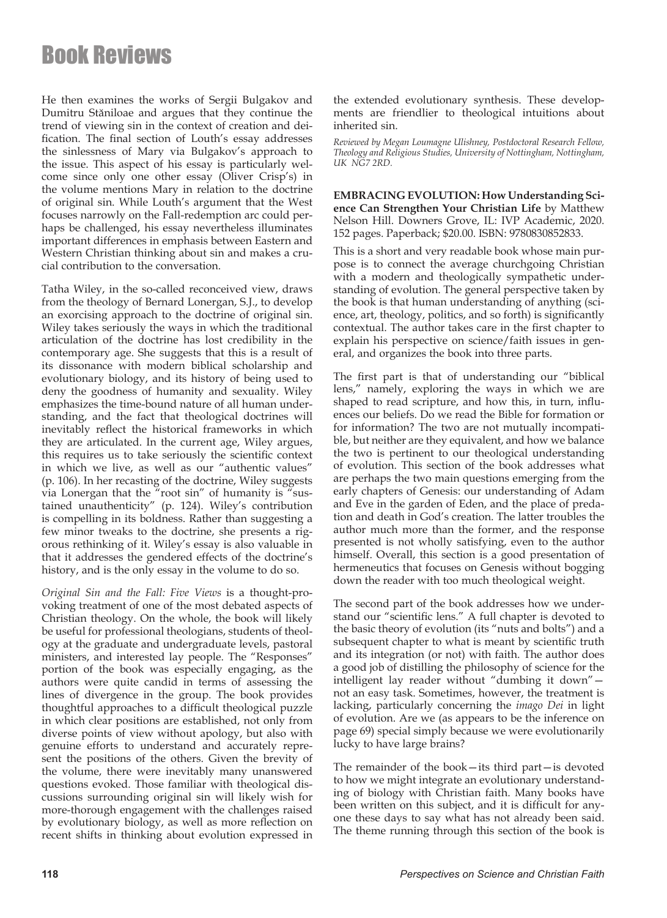He then examines the works of Sergii Bulgakov and Dumitru Stăniloae and argues that they continue the trend of viewing sin in the context of creation and deification. The final section of Louth's essay addresses the sinlessness of Mary via Bulgakov's approach to the issue. This aspect of his essay is particularly welcome since only one other essay (Oliver Crisp's) in the volume mentions Mary in relation to the doctrine of original sin. While Louth's argument that the West focuses narrowly on the Fall-redemption arc could perhaps be challenged, his essay nevertheless illuminates important differences in emphasis between Eastern and Western Christian thinking about sin and makes a crucial contribution to the conversation.

Tatha Wiley, in the so-called reconceived view, draws from the theology of Bernard Lonergan, S.J., to develop an exorcising approach to the doctrine of original sin. Wiley takes seriously the ways in which the traditional articulation of the doctrine has lost credibility in the contemporary age. She suggests that this is a result of its dissonance with modern biblical scholarship and evolutionary biology, and its history of being used to deny the goodness of humanity and sexuality. Wiley emphasizes the time-bound nature of all human understanding, and the fact that theological doctrines will inevitably reflect the historical frameworks in which they are articulated. In the current age, Wiley argues, this requires us to take seriously the scientific context in which we live, as well as our "authentic values" (p. 106). In her recasting of the doctrine, Wiley suggests via Lonergan that the "root sin" of humanity is "sustained unauthenticity" (p. 124). Wiley's contribution is compelling in its boldness. Rather than suggesting a few minor tweaks to the doctrine, she presents a rigorous rethinking of it. Wiley's essay is also valuable in that it addresses the gendered effects of the doctrine's history, and is the only essay in the volume to do so.

*Original Sin and the Fall: Five Views* is a thought-provoking treatment of one of the most debated aspects of Christian theology. On the whole, the book will likely be useful for professional theologians, students of theology at the graduate and undergraduate levels, pastoral ministers, and interested lay people. The "Responses" portion of the book was especially engaging, as the authors were quite candid in terms of assessing the lines of divergence in the group. The book provides thoughtful approaches to a difficult theological puzzle in which clear positions are established, not only from diverse points of view without apology, but also with genuine efforts to understand and accurately represent the positions of the others. Given the brevity of the volume, there were inevitably many unanswered questions evoked. Those familiar with theological discussions surrounding original sin will likely wish for more-thorough engagement with the challenges raised by evolutionary biology, as well as more reflection on recent shifts in thinking about evolution expressed in

the extended evolutionary synthesis. These developments are friendlier to theological intuitions about inherited sin.

*Reviewed by Megan Loumagne Ulishney, Postdoctoral Research Fellow, Theology and Religious Studies, University of Nottingham, Nottingham, UK NG7 2RD.*

**EMBRACING EVOLUTION: How Understanding Science Can Strengthen Your Christian Life** by Matthew Nelson Hill. Downers Grove, IL: IVP Academic, 2020. 152 pages. Paperback; \$20.00. ISBN: 9780830852833.

This is a short and very readable book whose main purpose is to connect the average churchgoing Christian with a modern and theologically sympathetic understanding of evolution. The general perspective taken by the book is that human understanding of anything (science, art, theology, politics, and so forth) is significantly contextual. The author takes care in the first chapter to explain his perspective on science/faith issues in general, and organizes the book into three parts.

The first part is that of understanding our "biblical lens," namely, exploring the ways in which we are shaped to read scripture, and how this, in turn, influences our beliefs. Do we read the Bible for formation or for information? The two are not mutually incompatible, but neither are they equivalent, and how we balance the two is pertinent to our theological understanding of evolution. This section of the book addresses what are perhaps the two main questions emerging from the early chapters of Genesis: our understanding of Adam and Eve in the garden of Eden, and the place of predation and death in God's creation. The latter troubles the author much more than the former, and the response presented is not wholly satisfying, even to the author himself. Overall, this section is a good presentation of hermeneutics that focuses on Genesis without bogging down the reader with too much theological weight.

The second part of the book addresses how we understand our "scientific lens." A full chapter is devoted to the basic theory of evolution (its "nuts and bolts") and a subsequent chapter to what is meant by scientific truth and its integration (or not) with faith. The author does a good job of distilling the philosophy of science for the intelligent lay reader without "dumbing it down" not an easy task. Sometimes, however, the treatment is lacking, particularly concerning the *imago Dei* in light of evolution. Are we (as appears to be the inference on page 69) special simply because we were evolutionarily lucky to have large brains?

The remainder of the book—its third part—is devoted to how we might integrate an evolutionary understanding of biology with Christian faith. Many books have been written on this subject, and it is difficult for anyone these days to say what has not already been said. The theme running through this section of the book is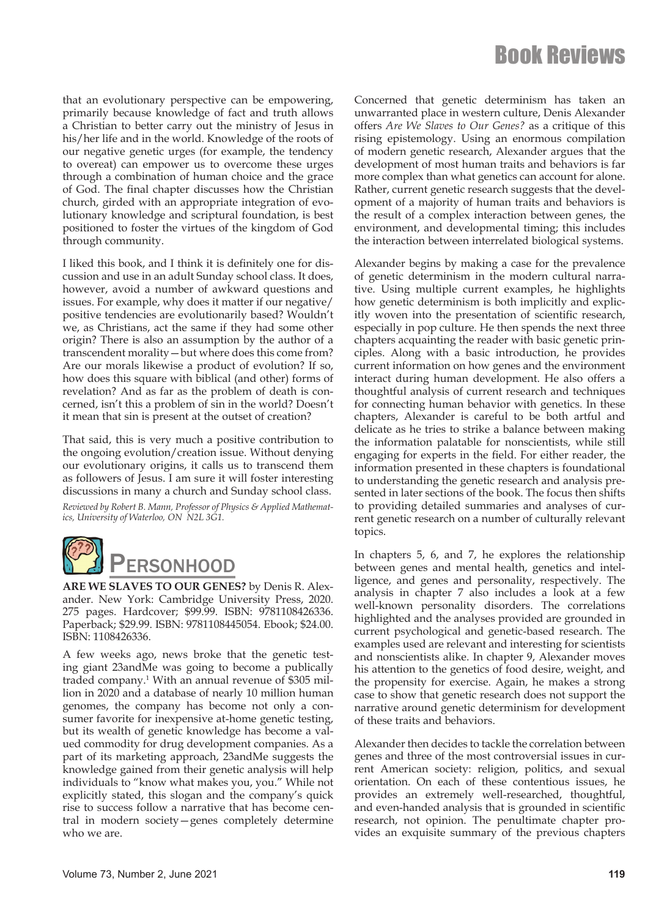that an evolutionary perspective can be empowering, primarily because knowledge of fact and truth allows a Christian to better carry out the ministry of Jesus in his/her life and in the world. Knowledge of the roots of our negative genetic urges (for example, the tendency to overeat) can empower us to overcome these urges through a combination of human choice and the grace of God. The final chapter discusses how the Christian church, girded with an appropriate integration of evolutionary knowledge and scriptural foundation, is best positioned to foster the virtues of the kingdom of God through community.

I liked this book, and I think it is definitely one for discussion and use in an adult Sunday school class. It does, however, avoid a number of awkward questions and issues. For example, why does it matter if our negative/ positive tendencies are evolutionarily based? Wouldn't we, as Christians, act the same if they had some other origin? There is also an assumption by the author of a transcendent morality—but where does this come from? Are our morals likewise a product of evolution? If so, how does this square with biblical (and other) forms of revelation? And as far as the problem of death is concerned, isn't this a problem of sin in the world? Doesn't it mean that sin is present at the outset of creation?

That said, this is very much a positive contribution to the ongoing evolution/creation issue. Without denying our evolutionary origins, it calls us to transcend them as followers of Jesus. I am sure it will foster interesting discussions in many a church and Sunday school class.

*Reviewed by Robert B. Mann, Professor of Physics & Applied Mathematics, University of Waterloo, ON N2L 3G1.*



**ARE WE SLAVES TO OUR GENES?** by Denis R. Alexander. New York: Cambridge University Press, 2020. 275 pages. Hardcover; \$99.99. ISBN: 9781108426336. Paperback; \$29.99. ISBN: 9781108445054. Ebook; \$24.00. ISBN: 1108426336.

A few weeks ago, news broke that the genetic testing giant 23andMe was going to become a publically traded company.<sup>1</sup> With an annual revenue of \$305 million in 2020 and a database of nearly 10 million human genomes, the company has become not only a consumer favorite for inexpensive at-home genetic testing, but its wealth of genetic knowledge has become a valued commodity for drug development companies. As a part of its marketing approach, 23andMe suggests the knowledge gained from their genetic analysis will help individuals to "know what makes you, you." While not explicitly stated, this slogan and the company's quick rise to success follow a narrative that has become central in modern society—genes completely determine who we are.

Concerned that genetic determinism has taken an unwarranted place in western culture, Denis Alexander offers *Are We Slaves to Our Genes?* as a critique of this rising epistemology. Using an enormous compilation of modern genetic research, Alexander argues that the development of most human traits and behaviors is far more complex than what genetics can account for alone. Rather, current genetic research suggests that the development of a majority of human traits and behaviors is the result of a complex interaction between genes, the environment, and developmental timing; this includes the interaction between interrelated biological systems.

Alexander begins by making a case for the prevalence of genetic determinism in the modern cultural narrative. Using multiple current examples, he highlights how genetic determinism is both implicitly and explicitly woven into the presentation of scientific research, especially in pop culture. He then spends the next three chapters acquainting the reader with basic genetic principles. Along with a basic introduction, he provides current information on how genes and the environment interact during human development. He also offers a thoughtful analysis of current research and techniques for connecting human behavior with genetics. In these chapters, Alexander is careful to be both artful and delicate as he tries to strike a balance between making the information palatable for nonscientists, while still engaging for experts in the field. For either reader, the information presented in these chapters is foundational to understanding the genetic research and analysis presented in later sections of the book. The focus then shifts to providing detailed summaries and analyses of current genetic research on a number of culturally relevant topics.

In chapters 5, 6, and 7, he explores the relationship between genes and mental health, genetics and intelligence, and genes and personality, respectively. The analysis in chapter 7 also includes a look at a few well-known personality disorders. The correlations highlighted and the analyses provided are grounded in current psychological and genetic-based research. The examples used are relevant and interesting for scientists and nonscientists alike. In chapter 9, Alexander moves his attention to the genetics of food desire, weight, and the propensity for exercise. Again, he makes a strong case to show that genetic research does not support the narrative around genetic determinism for development of these traits and behaviors.

Alexander then decides to tackle the correlation between genes and three of the most controversial issues in current American society: religion, politics, and sexual orientation. On each of these contentious issues, he provides an extremely well-researched, thoughtful, and even-handed analysis that is grounded in scientific research, not opinion. The penultimate chapter provides an exquisite summary of the previous chapters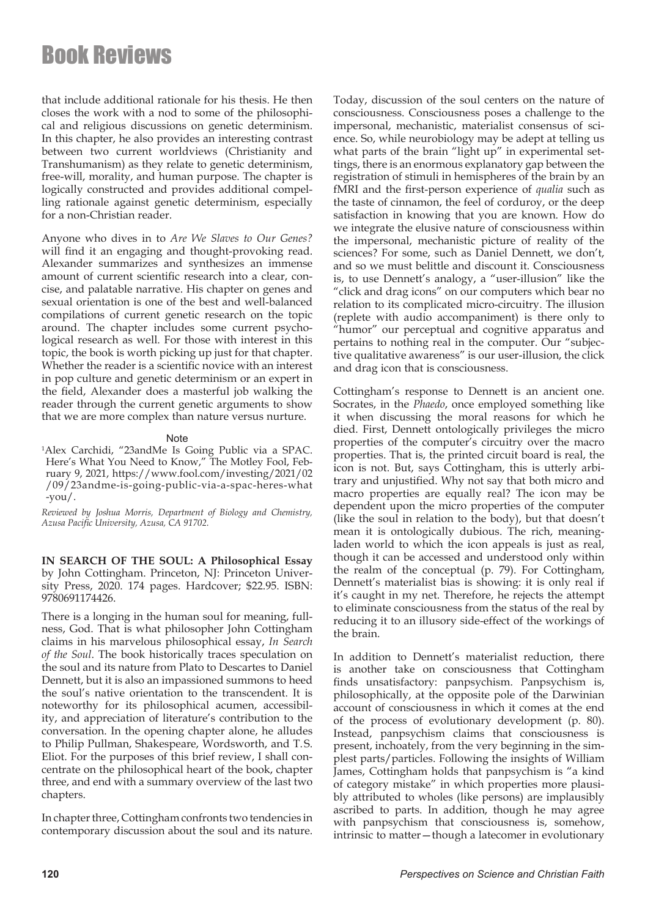that include additional rationale for his thesis. He then closes the work with a nod to some of the philosophical and religious discussions on genetic determinism. In this chapter, he also provides an interesting contrast between two current worldviews (Christianity and Transhumanism) as they relate to genetic determinism, free-will, morality, and human purpose. The chapter is logically constructed and provides additional compelling rationale against genetic determinism, especially for a non-Christian reader.

Anyone who dives in to *Are We Slaves to Our Genes?*  will find it an engaging and thought-provoking read. Alexander summarizes and synthesizes an immense amount of current scientific research into a clear, concise, and palatable narrative. His chapter on genes and sexual orientation is one of the best and well-balanced compilations of current genetic research on the topic around. The chapter includes some current psychological research as well. For those with interest in this topic, the book is worth picking up just for that chapter. Whether the reader is a scientific novice with an interest in pop culture and genetic determinism or an expert in the field, Alexander does a masterful job walking the reader through the current genetic arguments to show that we are more complex than nature versus nurture.

#### Note

1 Alex Carchidi, "23andMe Is Going Public via a SPAC. Here's What You Need to Know," The Motley Fool, February 9, 2021, https://www.fool.com/investing/2021/02 /09/23andme-is-going-public-via-a-spac-heres-what  $-you$ .

*Reviewed by Joshua Morris, Department of Biology and Chemistry, Azusa Pacific University, Azusa, CA 91702.*

**IN SEARCH OF THE SOUL: A Philosophical Essay**  by John Cottingham. Princeton, NJ: Princeton University Press, 2020. 174 pages. Hardcover; \$22.95. ISBN: 9780691174426.

There is a longing in the human soul for meaning, fullness, God. That is what philosopher John Cottingham claims in his marvelous philosophical essay, *In Search of the Soul*. The book historically traces speculation on the soul and its nature from Plato to Descartes to Daniel Dennett, but it is also an impassioned summons to heed the soul's native orientation to the transcendent. It is noteworthy for its philosophical acumen, accessibility, and appreciation of literature's contribution to the conversation. In the opening chapter alone, he alludes to Philip Pullman, Shakespeare, Wordsworth, and T.S. Eliot. For the purposes of this brief review, I shall concentrate on the philosophical heart of the book, chapter three, and end with a summary overview of the last two chapters.

In chapter three, Cottingham confronts two tendencies in contemporary discussion about the soul and its nature. Today, discussion of the soul centers on the nature of consciousness. Consciousness poses a challenge to the impersonal, mechanistic, materialist consensus of science. So, while neurobiology may be adept at telling us what parts of the brain "light up" in experimental settings, there is an enormous explanatory gap between the registration of stimuli in hemispheres of the brain by an fMRI and the first-person experience of *qualia* such as the taste of cinnamon, the feel of corduroy, or the deep satisfaction in knowing that you are known. How do we integrate the elusive nature of consciousness within the impersonal, mechanistic picture of reality of the sciences? For some, such as Daniel Dennett, we don't, and so we must belittle and discount it. Consciousness is, to use Dennett's analogy, a "user-illusion" like the "click and drag icons" on our computers which bear no relation to its complicated micro-circuitry. The illusion (replete with audio accompaniment) is there only to "humor" our perceptual and cognitive apparatus and pertains to nothing real in the computer. Our "subjective qualitative awareness" is our user-illusion, the click and drag icon that is consciousness.

Cottingham's response to Dennett is an ancient one. Socrates, in the *Phaedo*, once employed something like it when discussing the moral reasons for which he died. First, Dennett ontologically privileges the micro properties of the computer's circuitry over the macro properties. That is, the printed circuit board is real, the icon is not. But, says Cottingham, this is utterly arbitrary and unjustified. Why not say that both micro and macro properties are equally real? The icon may be dependent upon the micro properties of the computer (like the soul in relation to the body), but that doesn't mean it is ontologically dubious. The rich, meaningladen world to which the icon appeals is just as real, though it can be accessed and understood only within the realm of the conceptual (p. 79). For Cottingham, Dennett's materialist bias is showing: it is only real if it's caught in my net. Therefore, he rejects the attempt to eliminate consciousness from the status of the real by reducing it to an illusory side-effect of the workings of the brain.

In addition to Dennett's materialist reduction, there is another take on consciousness that Cottingham finds unsatisfactory: panpsychism. Panpsychism is, philosophically, at the opposite pole of the Darwinian account of consciousness in which it comes at the end of the process of evolutionary development (p. 80). Instead, panpsychism claims that consciousness is present, inchoately, from the very beginning in the simplest parts/particles. Following the insights of William James, Cottingham holds that panpsychism is "a kind of category mistake" in which properties more plausibly attributed to wholes (like persons) are implausibly ascribed to parts. In addition, though he may agree with panpsychism that consciousness is, somehow, intrinsic to matter—though a latecomer in evolutionary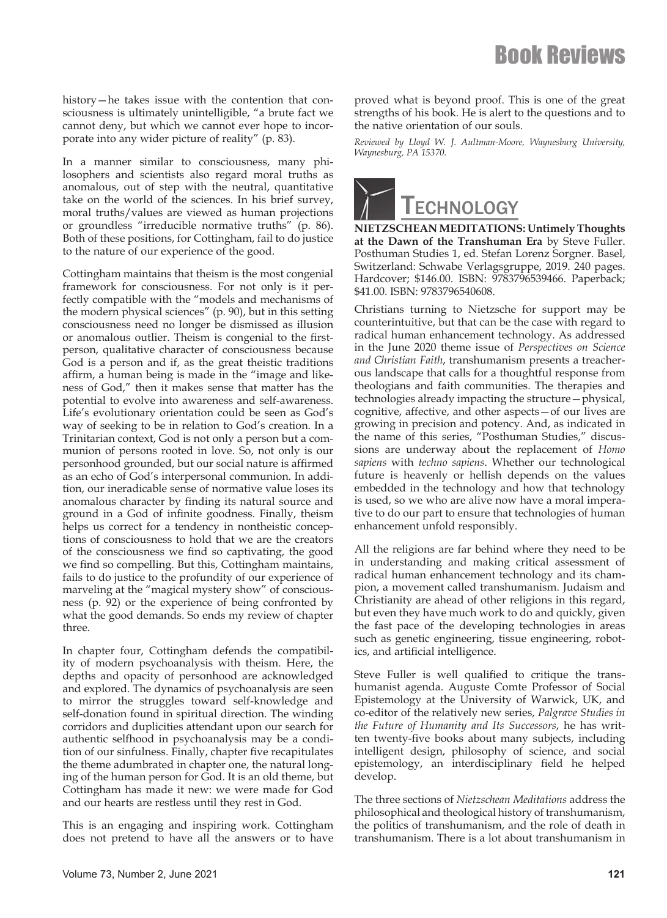history—he takes issue with the contention that consciousness is ultimately unintelligible, "a brute fact we cannot deny, but which we cannot ever hope to incorporate into any wider picture of reality" (p. 83).

In a manner similar to consciousness, many philosophers and scientists also regard moral truths as anomalous, out of step with the neutral, quantitative take on the world of the sciences. In his brief survey, moral truths/values are viewed as human projections or groundless "irreducible normative truths" (p. 86). Both of these positions, for Cottingham, fail to do justice to the nature of our experience of the good.

Cottingham maintains that theism is the most congenial framework for consciousness. For not only is it perfectly compatible with the "models and mechanisms of the modern physical sciences" (p. 90), but in this setting consciousness need no longer be dismissed as illusion or anomalous outlier. Theism is congenial to the firstperson, qualitative character of consciousness because God is a person and if, as the great theistic traditions affirm, a human being is made in the "image and likeness of God," then it makes sense that matter has the potential to evolve into awareness and self-awareness. Life's evolutionary orientation could be seen as God's way of seeking to be in relation to God's creation. In a Trinitarian context, God is not only a person but a communion of persons rooted in love. So, not only is our personhood grounded, but our social nature is affirmed as an echo of God's interpersonal communion. In addition, our ineradicable sense of normative value loses its anomalous character by finding its natural source and ground in a God of infinite goodness. Finally, theism helps us correct for a tendency in nontheistic conceptions of consciousness to hold that we are the creators of the consciousness we find so captivating, the good we find so compelling. But this, Cottingham maintains, fails to do justice to the profundity of our experience of marveling at the "magical mystery show" of consciousness (p. 92) or the experience of being confronted by what the good demands. So ends my review of chapter three.

In chapter four, Cottingham defends the compatibility of modern psychoanalysis with theism. Here, the depths and opacity of personhood are acknowledged and explored. The dynamics of psychoanalysis are seen to mirror the struggles toward self-knowledge and self-donation found in spiritual direction. The winding corridors and duplicities attendant upon our search for authentic selfhood in psychoanalysis may be a condition of our sinfulness. Finally, chapter five recapitulates the theme adumbrated in chapter one, the natural longing of the human person for God. It is an old theme, but Cottingham has made it new: we were made for God and our hearts are restless until they rest in God.

This is an engaging and inspiring work. Cottingham does not pretend to have all the answers or to have

proved what is beyond proof. This is one of the great strengths of his book. He is alert to the questions and to the native orientation of our souls.

*Reviewed by Lloyd W. J. Aultman-Moore, Waynesburg University, Waynesburg, PA 15370.*



**NIETZSCHEAN MEDITATIONS: Untimely Thoughts at the Dawn of the Transhuman Era** by Steve Fuller. Posthuman Studies 1, ed. Stefan Lorenz Sorgner. Basel, Switzerland: Schwabe Verlagsgruppe, 2019. 240 pages. Hardcover; \$146.00. ISBN: 9783796539466. Paperback; \$41.00. ISBN: 9783796540608.

Christians turning to Nietzsche for support may be counterintuitive, but that can be the case with regard to radical human enhancement technology. As addressed in the June 2020 theme issue of *Perspectives on Science and Christian Faith*, transhumanism presents a treacherous landscape that calls for a thoughtful response from theologians and faith communities. The therapies and technologies already impacting the structure—physical, cognitive, affective, and other aspects—of our lives are growing in precision and potency. And, as indicated in the name of this series, "Posthuman Studies," discussions are underway about the replacement of *Homo sapiens* with *techno sapiens*. Whether our technological future is heavenly or hellish depends on the values embedded in the technology and how that technology is used, so we who are alive now have a moral imperative to do our part to ensure that technologies of human enhancement unfold responsibly.

All the religions are far behind where they need to be in understanding and making critical assessment of radical human enhancement technology and its champion, a movement called transhumanism. Judaism and Christianity are ahead of other religions in this regard, but even they have much work to do and quickly, given the fast pace of the developing technologies in areas such as genetic engineering, tissue engineering, robotics, and artificial intelligence.

Steve Fuller is well qualified to critique the transhumanist agenda. Auguste Comte Professor of Social Epistemology at the University of Warwick, UK, and co-editor of the relatively new series, *Palgrave Studies in the Future of Humanity and Its Successors*, he has written twenty-five books about many subjects, including intelligent design, philosophy of science, and social epistemology, an interdisciplinary field he helped develop.

The three sections of *Nietzschean Meditations* address the philosophical and theological history of transhumanism, the politics of transhumanism, and the role of death in transhumanism. There is a lot about transhumanism in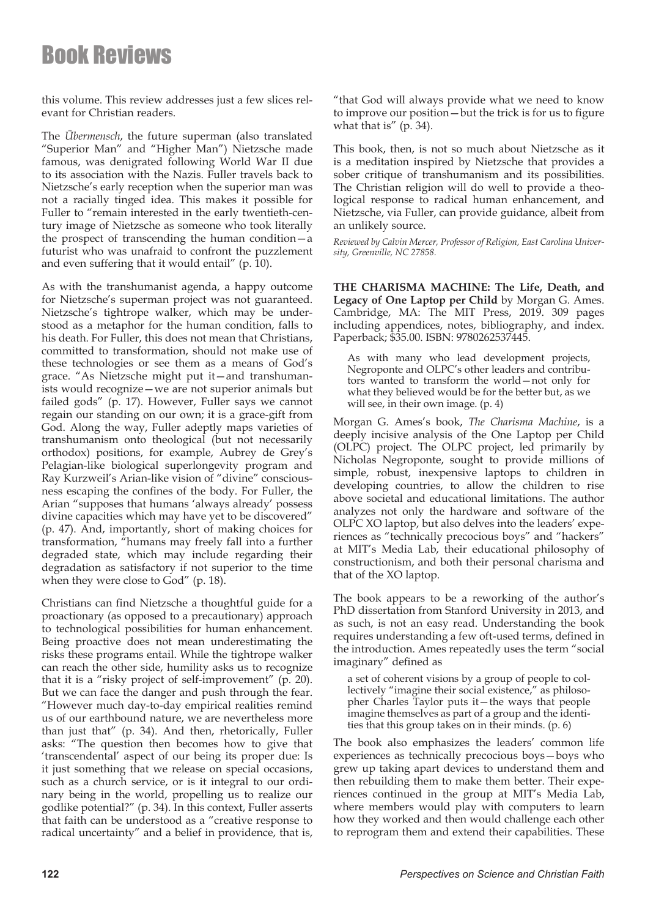this volume. This review addresses just a few slices relevant for Christian readers.

The *Übermensch*, the future superman (also translated "Superior Man" and "Higher Man") Nietzsche made famous, was denigrated following World War II due to its association with the Nazis. Fuller travels back to Nietzsche's early reception when the superior man was not a racially tinged idea. This makes it possible for Fuller to "remain interested in the early twentieth-century image of Nietzsche as someone who took literally the prospect of transcending the human condition—a futurist who was unafraid to confront the puzzlement and even suffering that it would entail" (p. 10).

As with the transhumanist agenda, a happy outcome for Nietzsche's superman project was not guaranteed. Nietzsche's tightrope walker, which may be understood as a metaphor for the human condition, falls to his death. For Fuller, this does not mean that Christians, committed to transformation, should not make use of these technologies or see them as a means of God's grace. "As Nietzsche might put it—and transhumanists would recognize—we are not superior animals but failed gods" (p. 17). However, Fuller says we cannot regain our standing on our own; it is a grace-gift from God. Along the way, Fuller adeptly maps varieties of transhumanism onto theological (but not necessarily orthodox) positions, for example, Aubrey de Grey's Pelagian-like biological superlongevity program and Ray Kurzweil's Arian-like vision of "divine" consciousness escaping the confines of the body. For Fuller, the Arian "supposes that humans 'always already' possess divine capacities which may have yet to be discovered" (p. 47). And, importantly, short of making choices for transformation, "humans may freely fall into a further degraded state, which may include regarding their degradation as satisfactory if not superior to the time when they were close to God" (p. 18).

Christians can find Nietzsche a thoughtful guide for a proactionary (as opposed to a precautionary) approach to technological possibilities for human enhancement. Being proactive does not mean underestimating the risks these programs entail. While the tightrope walker can reach the other side, humility asks us to recognize that it is a "risky project of self-improvement" (p. 20). But we can face the danger and push through the fear. "However much day-to-day empirical realities remind us of our earthbound nature, we are nevertheless more than just that" (p. 34). And then, rhetorically, Fuller asks: "The question then becomes how to give that 'transcendental' aspect of our being its proper due: Is it just something that we release on special occasions, such as a church service, or is it integral to our ordinary being in the world, propelling us to realize our godlike potential?" (p. 34). In this context, Fuller asserts that faith can be understood as a "creative response to radical uncertainty" and a belief in providence, that is,

"that God will always provide what we need to know to improve our position—but the trick is for us to figure what that is" (p. 34).

This book, then, is not so much about Nietzsche as it is a meditation inspired by Nietzsche that provides a sober critique of transhumanism and its possibilities. The Christian religion will do well to provide a theological response to radical human enhancement, and Nietzsche, via Fuller, can provide guidance, albeit from an unlikely source.

*Reviewed by Calvin Mercer, Professor of Religion, East Carolina University, Greenville, NC 27858.*

**THE CHARISMA MACHINE: The Life, Death, and Legacy of One Laptop per Child** by Morgan G. Ames. Cambridge, MA: The MIT Press, 2019. 309 pages including appendices, notes, bibliography, and index. Paperback; \$35.00. ISBN: 9780262537445.

As with many who lead development projects, Negroponte and OLPC's other leaders and contributors wanted to transform the world—not only for what they believed would be for the better but, as we will see, in their own image. (p. 4)

Morgan G. Ames's book, *The Charisma Machine*, is a deeply incisive analysis of the One Laptop per Child (OLPC) project. The OLPC project, led primarily by Nicholas Negroponte, sought to provide millions of simple, robust, inexpensive laptops to children in developing countries, to allow the children to rise above societal and educational limitations. The author analyzes not only the hardware and software of the OLPC XO laptop, but also delves into the leaders' experiences as "technically precocious boys" and "hackers" at MIT's Media Lab, their educational philosophy of constructionism, and both their personal charisma and that of the XO laptop.

The book appears to be a reworking of the author's PhD dissertation from Stanford University in 2013, and as such, is not an easy read. Understanding the book requires understanding a few oft-used terms, defined in the introduction. Ames repeatedly uses the term "social imaginary" defined as

a set of coherent visions by a group of people to collectively "imagine their social existence," as philosopher Charles Taylor puts it—the ways that people imagine themselves as part of a group and the identities that this group takes on in their minds. (p. 6)

The book also emphasizes the leaders' common life experiences as technically precocious boys—boys who grew up taking apart devices to understand them and then rebuilding them to make them better. Their experiences continued in the group at MIT's Media Lab, where members would play with computers to learn how they worked and then would challenge each other to reprogram them and extend their capabilities. These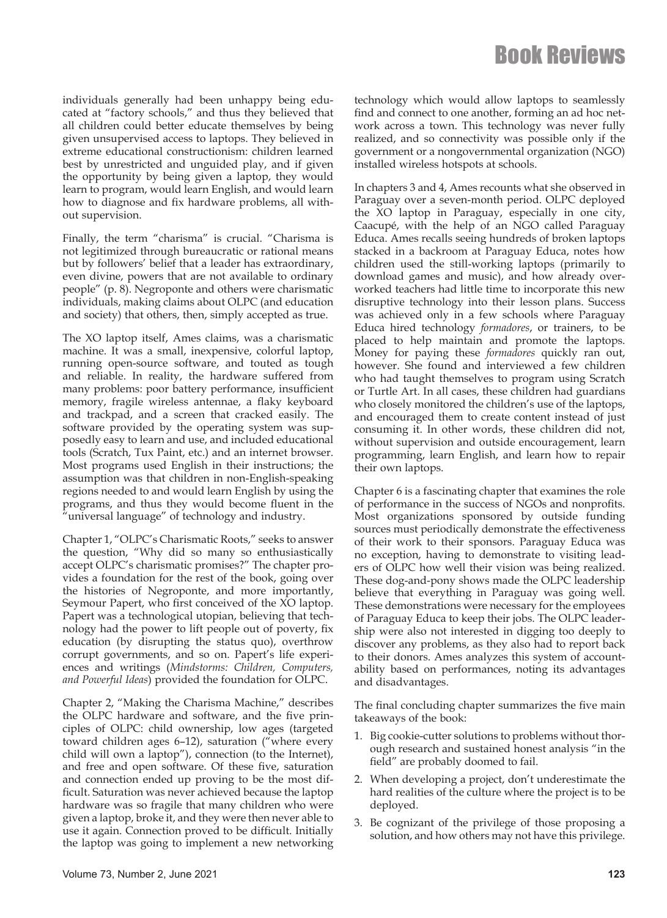individuals generally had been unhappy being educated at "factory schools," and thus they believed that all children could better educate themselves by being given unsupervised access to laptops. They believed in extreme educational constructionism: children learned best by unrestricted and unguided play, and if given the opportunity by being given a laptop, they would learn to program, would learn English, and would learn how to diagnose and fix hardware problems, all without supervision.

Finally, the term "charisma" is crucial. "Charisma is not legitimized through bureaucratic or rational means but by followers' belief that a leader has extraordinary, even divine, powers that are not available to ordinary people" (p. 8). Negroponte and others were charismatic individuals, making claims about OLPC (and education and society) that others, then, simply accepted as true.

The XO laptop itself, Ames claims, was a charismatic machine. It was a small, inexpensive, colorful laptop, running open-source software, and touted as tough and reliable. In reality, the hardware suffered from many problems: poor battery performance, insufficient memory, fragile wireless antennae, a flaky keyboard and trackpad, and a screen that cracked easily. The software provided by the operating system was supposedly easy to learn and use, and included educational tools (Scratch, Tux Paint, etc.) and an internet browser. Most programs used English in their instructions; the assumption was that children in non-English-speaking regions needed to and would learn English by using the programs, and thus they would become fluent in the "universal language" of technology and industry.

Chapter 1, "OLPC's Charismatic Roots," seeks to answer the question, "Why did so many so enthusiastically accept OLPC's charismatic promises?" The chapter provides a foundation for the rest of the book, going over the histories of Negroponte, and more importantly, Seymour Papert, who first conceived of the XO laptop. Papert was a technological utopian, believing that technology had the power to lift people out of poverty, fix education (by disrupting the status quo), overthrow corrupt governments, and so on. Papert's life experiences and writings (*Mindstorms: Children, Computers, and Powerful Ideas*) provided the foundation for OLPC.

Chapter 2, "Making the Charisma Machine," describes the OLPC hardware and software, and the five principles of OLPC: child ownership, low ages (targeted toward children ages 6–12), saturation ("where every child will own a laptop"), connection (to the Internet), and free and open software. Of these five, saturation and connection ended up proving to be the most difficult. Saturation was never achieved because the laptop hardware was so fragile that many children who were given a laptop, broke it, and they were then never able to use it again. Connection proved to be difficult. Initially the laptop was going to implement a new networking

technology which would allow laptops to seamlessly find and connect to one another, forming an ad hoc network across a town. This technology was never fully realized, and so connectivity was possible only if the government or a nongovernmental organization (NGO) installed wireless hotspots at schools.

In chapters 3 and 4, Ames recounts what she observed in Paraguay over a seven-month period. OLPC deployed the XO laptop in Paraguay, especially in one city, Caacupé, with the help of an NGO called Paraguay Educa. Ames recalls seeing hundreds of broken laptops stacked in a backroom at Paraguay Educa, notes how children used the still-working laptops (primarily to download games and music), and how already overworked teachers had little time to incorporate this new disruptive technology into their lesson plans. Success was achieved only in a few schools where Paraguay Educa hired technology *formadores*, or trainers, to be placed to help maintain and promote the laptops. Money for paying these *formadores* quickly ran out, however. She found and interviewed a few children who had taught themselves to program using Scratch or Turtle Art. In all cases, these children had guardians who closely monitored the children's use of the laptops, and encouraged them to create content instead of just consuming it. In other words, these children did not, without supervision and outside encouragement, learn programming, learn English, and learn how to repair their own laptops.

Chapter 6 is a fascinating chapter that examines the role of performance in the success of NGOs and nonprofits. Most organizations sponsored by outside funding sources must periodically demonstrate the effectiveness of their work to their sponsors. Paraguay Educa was no exception, having to demonstrate to visiting leaders of OLPC how well their vision was being realized. These dog-and-pony shows made the OLPC leadership believe that everything in Paraguay was going well. These demonstrations were necessary for the employees of Paraguay Educa to keep their jobs. The OLPC leadership were also not interested in digging too deeply to discover any problems, as they also had to report back to their donors. Ames analyzes this system of accountability based on performances, noting its advantages and disadvantages.

The final concluding chapter summarizes the five main takeaways of the book:

- 1. Big cookie-cutter solutions to problems without thorough research and sustained honest analysis "in the field" are probably doomed to fail.
- 2. When developing a project, don't underestimate the hard realities of the culture where the project is to be deployed.
- 3. Be cognizant of the privilege of those proposing a solution, and how others may not have this privilege.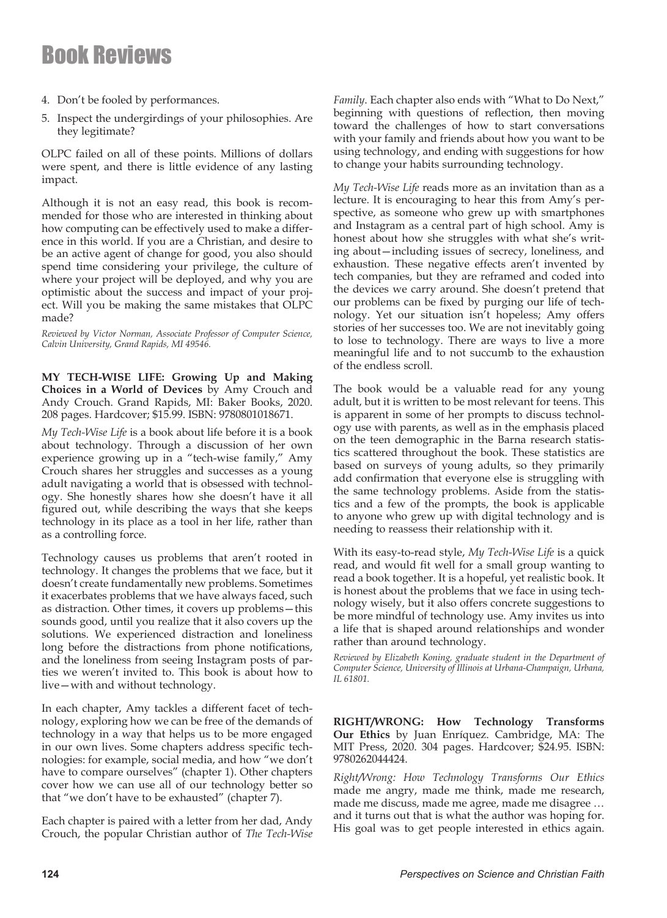- 4. Don't be fooled by performances.
- 5. Inspect the undergirdings of your philosophies. Are they legitimate?

OLPC failed on all of these points. Millions of dollars were spent, and there is little evidence of any lasting impact.

Although it is not an easy read, this book is recommended for those who are interested in thinking about how computing can be effectively used to make a difference in this world. If you are a Christian, and desire to be an active agent of change for good, you also should spend time considering your privilege, the culture of where your project will be deployed, and why you are optimistic about the success and impact of your project. Will you be making the same mistakes that OLPC made?

*Reviewed by Victor Norman, Associate Professor of Computer Science, Calvin University, Grand Rapids, MI 49546.*

**MY TECH-WISE LIFE: Growing Up and Making Choices in a World of Devices** by Amy Crouch and Andy Crouch. Grand Rapids, MI: Baker Books, 2020. 208 pages. Hardcover; \$15.99. ISBN: 9780801018671.

*My Tech-Wise Life* is a book about life before it is a book about technology. Through a discussion of her own experience growing up in a "tech-wise family," Amy Crouch shares her struggles and successes as a young adult navigating a world that is obsessed with technology. She honestly shares how she doesn't have it all figured out, while describing the ways that she keeps technology in its place as a tool in her life, rather than as a controlling force.

Technology causes us problems that aren't rooted in technology. It changes the problems that we face, but it doesn't create fundamentally new problems. Sometimes it exacerbates problems that we have always faced, such as distraction. Other times, it covers up problems—this sounds good, until you realize that it also covers up the solutions. We experienced distraction and loneliness long before the distractions from phone notifications, and the loneliness from seeing Instagram posts of parties we weren't invited to. This book is about how to live—with and without technology.

In each chapter, Amy tackles a different facet of technology, exploring how we can be free of the demands of technology in a way that helps us to be more engaged in our own lives. Some chapters address specific technologies: for example, social media, and how "we don't have to compare ourselves" (chapter 1). Other chapters cover how we can use all of our technology better so that "we don't have to be exhausted" (chapter 7).

Each chapter is paired with a letter from her dad, Andy Crouch, the popular Christian author of *The Tech-Wise*  *Family*. Each chapter also ends with "What to Do Next," beginning with questions of reflection, then moving toward the challenges of how to start conversations with your family and friends about how you want to be using technology, and ending with suggestions for how to change your habits surrounding technology.

*My Tech-Wise Life* reads more as an invitation than as a lecture. It is encouraging to hear this from Amy's perspective, as someone who grew up with smartphones and Instagram as a central part of high school. Amy is honest about how she struggles with what she's writing about—including issues of secrecy, loneliness, and exhaustion. These negative effects aren't invented by tech companies, but they are reframed and coded into the devices we carry around. She doesn't pretend that our problems can be fixed by purging our life of technology. Yet our situation isn't hopeless; Amy offers stories of her successes too. We are not inevitably going to lose to technology. There are ways to live a more meaningful life and to not succumb to the exhaustion of the endless scroll.

The book would be a valuable read for any young adult, but it is written to be most relevant for teens. This is apparent in some of her prompts to discuss technology use with parents, as well as in the emphasis placed on the teen demographic in the Barna research statistics scattered throughout the book. These statistics are based on surveys of young adults, so they primarily add confirmation that everyone else is struggling with the same technology problems. Aside from the statistics and a few of the prompts, the book is applicable to anyone who grew up with digital technology and is needing to reassess their relationship with it.

With its easy-to-read style, *My Tech-Wise Life* is a quick read, and would fit well for a small group wanting to read a book together. It is a hopeful, yet realistic book. It is honest about the problems that we face in using technology wisely, but it also offers concrete suggestions to be more mindful of technology use. Amy invites us into a life that is shaped around relationships and wonder rather than around technology.

*Reviewed by Elizabeth Koning, graduate student in the Department of Computer Science, University of Illinois at Urbana-Champaign, Urbana, IL 61801.*

**RIGHT/WRONG: How Technology Transforms Our Ethics** by Juan Enríquez. Cambridge, MA: The MIT Press, 2020. 304 pages. Hardcover; \$24.95. ISBN: 9780262044424.

*Right/Wrong: How Technology Transforms Our Ethics*  made me angry, made me think, made me research, made me discuss, made me agree, made me disagree … and it turns out that is what the author was hoping for. His goal was to get people interested in ethics again.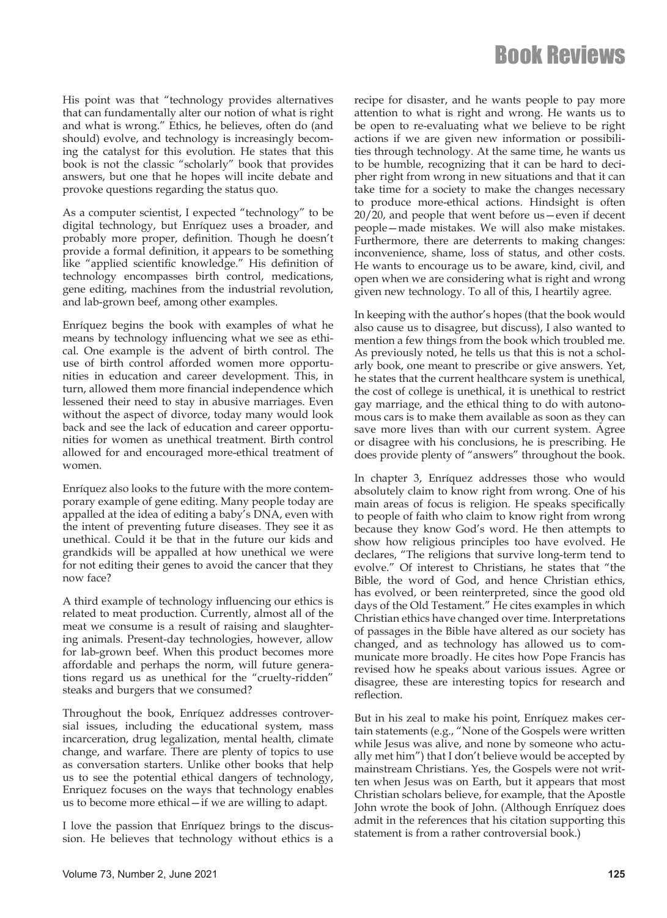His point was that "technology provides alternatives that can fundamentally alter our notion of what is right and what is wrong." Ethics, he believes, often do (and should) evolve, and technology is increasingly becoming the catalyst for this evolution. He states that this book is not the classic "scholarly" book that provides answers, but one that he hopes will incite debate and provoke questions regarding the status quo.

As a computer scientist, I expected "technology" to be digital technology, but Enríquez uses a broader, and probably more proper, definition. Though he doesn't provide a formal definition, it appears to be something like "applied scientific knowledge." His definition of technology encompasses birth control, medications, gene editing, machines from the industrial revolution, and lab-grown beef, among other examples.

Enríquez begins the book with examples of what he means by technology influencing what we see as ethical. One example is the advent of birth control. The use of birth control afforded women more opportunities in education and career development. This, in turn, allowed them more financial independence which lessened their need to stay in abusive marriages. Even without the aspect of divorce, today many would look back and see the lack of education and career opportunities for women as unethical treatment. Birth control allowed for and encouraged more-ethical treatment of women.

Enríquez also looks to the future with the more contemporary example of gene editing. Many people today are appalled at the idea of editing a baby's DNA, even with the intent of preventing future diseases. They see it as unethical. Could it be that in the future our kids and grandkids will be appalled at how unethical we were for not editing their genes to avoid the cancer that they now face?

A third example of technology influencing our ethics is related to meat production. Currently, almost all of the meat we consume is a result of raising and slaughtering animals. Present-day technologies, however, allow for lab-grown beef. When this product becomes more affordable and perhaps the norm, will future generations regard us as unethical for the "cruelty-ridden" steaks and burgers that we consumed?

Throughout the book, Enríquez addresses controversial issues, including the educational system, mass incarceration, drug legalization, mental health, climate change, and warfare. There are plenty of topics to use as conversation starters. Unlike other books that help us to see the potential ethical dangers of technology, Enriquez focuses on the ways that technology enables us to become more ethical—if we are willing to adapt.

I love the passion that Enríquez brings to the discussion. He believes that technology without ethics is a recipe for disaster, and he wants people to pay more attention to what is right and wrong. He wants us to be open to re-evaluating what we believe to be right actions if we are given new information or possibilities through technology. At the same time, he wants us to be humble, recognizing that it can be hard to decipher right from wrong in new situations and that it can take time for a society to make the changes necessary to produce more-ethical actions. Hindsight is often 20/20, and people that went before us—even if decent people—made mistakes. We will also make mistakes. Furthermore, there are deterrents to making changes: inconvenience, shame, loss of status, and other costs. He wants to encourage us to be aware, kind, civil, and open when we are considering what is right and wrong given new technology. To all of this, I heartily agree.

In keeping with the author's hopes (that the book would also cause us to disagree, but discuss), I also wanted to mention a few things from the book which troubled me. As previously noted, he tells us that this is not a scholarly book, one meant to prescribe or give answers. Yet, he states that the current healthcare system is unethical, the cost of college is unethical, it is unethical to restrict gay marriage, and the ethical thing to do with autonomous cars is to make them available as soon as they can save more lives than with our current system. Agree or disagree with his conclusions, he is prescribing. He does provide plenty of "answers" throughout the book.

In chapter 3, Enríquez addresses those who would absolutely claim to know right from wrong. One of his main areas of focus is religion. He speaks specifically to people of faith who claim to know right from wrong because they know God's word. He then attempts to show how religious principles too have evolved. He declares, "The religions that survive long-term tend to evolve." Of interest to Christians, he states that "the Bible, the word of God, and hence Christian ethics, has evolved, or been reinterpreted, since the good old days of the Old Testament." He cites examples in which Christian ethics have changed over time. Interpretations of passages in the Bible have altered as our society has changed, and as technology has allowed us to communicate more broadly. He cites how Pope Francis has revised how he speaks about various issues. Agree or disagree, these are interesting topics for research and reflection.

But in his zeal to make his point, Enríquez makes certain statements (e.g., "None of the Gospels were written while Jesus was alive, and none by someone who actually met him") that I don't believe would be accepted by mainstream Christians. Yes, the Gospels were not written when Jesus was on Earth, but it appears that most Christian scholars believe, for example, that the Apostle John wrote the book of John. (Although Enríquez does admit in the references that his citation supporting this statement is from a rather controversial book.)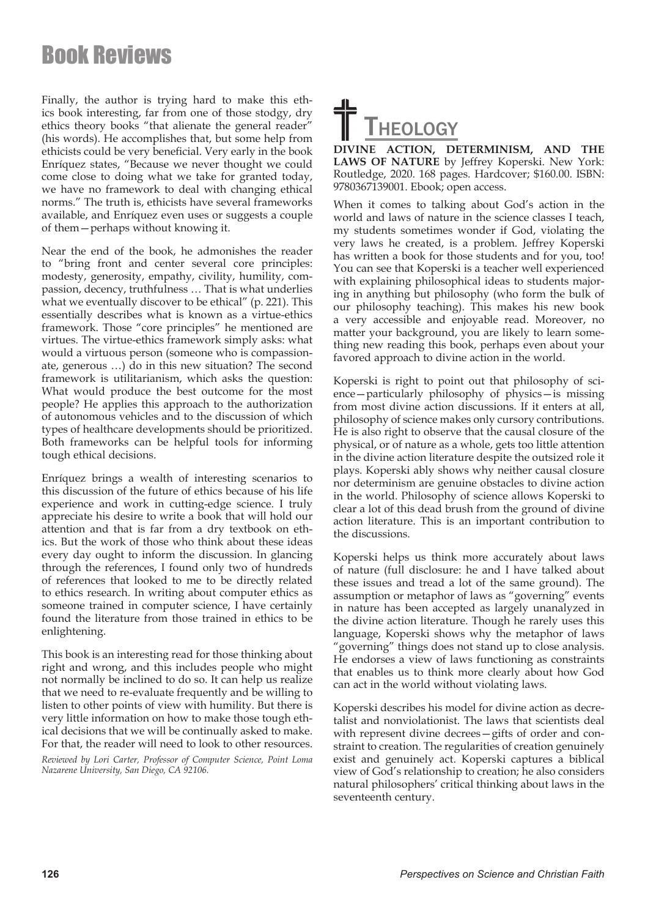Finally, the author is trying hard to make this ethics book interesting, far from one of those stodgy, dry ethics theory books "that alienate the general reader" (his words). He accomplishes that, but some help from ethicists could be very beneficial. Very early in the book Enríquez states, "Because we never thought we could come close to doing what we take for granted today, we have no framework to deal with changing ethical norms." The truth is, ethicists have several frameworks available, and Enríquez even uses or suggests a couple of them—perhaps without knowing it.

Near the end of the book, he admonishes the reader to "bring front and center several core principles: modesty, generosity, empathy, civility, humility, compassion, decency, truthfulness … That is what underlies what we eventually discover to be ethical" (p. 221). This essentially describes what is known as a virtue-ethics framework. Those "core principles" he mentioned are virtues. The virtue-ethics framework simply asks: what would a virtuous person (someone who is compassionate, generous …) do in this new situation? The second framework is utilitarianism, which asks the question: What would produce the best outcome for the most people? He applies this approach to the authorization of autonomous vehicles and to the discussion of which types of healthcare developments should be prioritized. Both frameworks can be helpful tools for informing tough ethical decisions.

Enríquez brings a wealth of interesting scenarios to this discussion of the future of ethics because of his life experience and work in cutting-edge science. I truly appreciate his desire to write a book that will hold our attention and that is far from a dry textbook on ethics. But the work of those who think about these ideas every day ought to inform the discussion. In glancing through the references, I found only two of hundreds of references that looked to me to be directly related to ethics research. In writing about computer ethics as someone trained in computer science, I have certainly found the literature from those trained in ethics to be enlightening.

This book is an interesting read for those thinking about right and wrong, and this includes people who might not normally be inclined to do so. It can help us realize that we need to re-evaluate frequently and be willing to listen to other points of view with humility. But there is very little information on how to make those tough ethical decisions that we will be continually asked to make. For that, the reader will need to look to other resources.

*Reviewed by Lori Carter, Professor of Computer Science, Point Loma Nazarene University, San Diego, CA 92106.*



**DIVINE ACTION, DETERMINISM, AND THE LAWS OF NATURE** by Jeffrey Koperski. New York: Routledge, 2020. 168 pages. Hardcover; \$160.00. ISBN: 9780367139001. Ebook; open access.

When it comes to talking about God's action in the world and laws of nature in the science classes I teach, my students sometimes wonder if God, violating the very laws he created, is a problem. Jeffrey Koperski has written a book for those students and for you, too! You can see that Koperski is a teacher well experienced with explaining philosophical ideas to students majoring in anything but philosophy (who form the bulk of our philosophy teaching). This makes his new book a very accessible and enjoyable read. Moreover, no matter your background, you are likely to learn something new reading this book, perhaps even about your favored approach to divine action in the world.

Koperski is right to point out that philosophy of science—particularly philosophy of physics—is missing from most divine action discussions. If it enters at all, philosophy of science makes only cursory contributions. He is also right to observe that the causal closure of the physical, or of nature as a whole, gets too little attention in the divine action literature despite the outsized role it plays. Koperski ably shows why neither causal closure nor determinism are genuine obstacles to divine action in the world. Philosophy of science allows Koperski to clear a lot of this dead brush from the ground of divine action literature. This is an important contribution to the discussions.

Koperski helps us think more accurately about laws of nature (full disclosure: he and I have talked about these issues and tread a lot of the same ground). The assumption or metaphor of laws as "governing" events in nature has been accepted as largely unanalyzed in the divine action literature. Though he rarely uses this language, Koperski shows why the metaphor of laws "governing" things does not stand up to close analysis. He endorses a view of laws functioning as constraints that enables us to think more clearly about how God can act in the world without violating laws.

Koperski describes his model for divine action as decretalist and nonviolationist. The laws that scientists deal with represent divine decrees—gifts of order and constraint to creation. The regularities of creation genuinely exist and genuinely act. Koperski captures a biblical view of God's relationship to creation; he also considers natural philosophers' critical thinking about laws in the seventeenth century.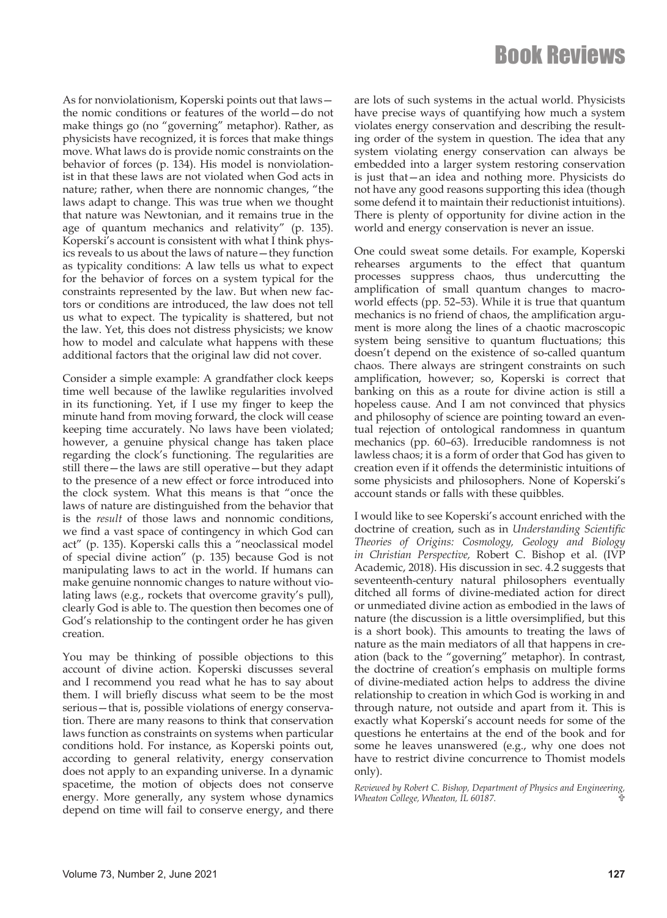As for nonviolationism, Koperski points out that laws the nomic conditions or features of the world—do not make things go (no "governing" metaphor). Rather, as physicists have recognized, it is forces that make things move. What laws do is provide nomic constraints on the behavior of forces (p. 134). His model is nonviolationist in that these laws are not violated when God acts in nature; rather, when there are nonnomic changes, "the laws adapt to change. This was true when we thought that nature was Newtonian, and it remains true in the age of quantum mechanics and relativity" (p. 135). Koperski's account is consistent with what I think physics reveals to us about the laws of nature—they function as typicality conditions: A law tells us what to expect for the behavior of forces on a system typical for the constraints represented by the law. But when new factors or conditions are introduced, the law does not tell us what to expect. The typicality is shattered, but not the law. Yet, this does not distress physicists; we know how to model and calculate what happens with these additional factors that the original law did not cover.

Consider a simple example: A grandfather clock keeps time well because of the lawlike regularities involved in its functioning. Yet, if I use my finger to keep the minute hand from moving forward, the clock will cease keeping time accurately. No laws have been violated; however, a genuine physical change has taken place regarding the clock's functioning. The regularities are still there—the laws are still operative—but they adapt to the presence of a new effect or force introduced into the clock system. What this means is that "once the laws of nature are distinguished from the behavior that is the *result* of those laws and nonnomic conditions, we find a vast space of contingency in which God can act" (p. 135). Koperski calls this a "neoclassical model of special divine action" (p. 135) because God is not manipulating laws to act in the world. If humans can make genuine nonnomic changes to nature without violating laws (e.g., rockets that overcome gravity's pull), clearly God is able to. The question then becomes one of God's relationship to the contingent order he has given creation.

You may be thinking of possible objections to this account of divine action. Koperski discusses several and I recommend you read what he has to say about them. I will briefly discuss what seem to be the most serious—that is, possible violations of energy conservation. There are many reasons to think that conservation laws function as constraints on systems when particular conditions hold. For instance, as Koperski points out, according to general relativity, energy conservation does not apply to an expanding universe. In a dynamic spacetime, the motion of objects does not conserve energy. More generally, any system whose dynamics depend on time will fail to conserve energy, and there

are lots of such systems in the actual world. Physicists have precise ways of quantifying how much a system violates energy conservation and describing the resulting order of the system in question. The idea that any system violating energy conservation can always be embedded into a larger system restoring conservation is just that—an idea and nothing more. Physicists do not have any good reasons supporting this idea (though some defend it to maintain their reductionist intuitions). There is plenty of opportunity for divine action in the world and energy conservation is never an issue.

One could sweat some details. For example, Koperski rehearses arguments to the effect that quantum processes suppress chaos, thus undercutting the amplification of small quantum changes to macroworld effects (pp. 52–53). While it is true that quantum mechanics is no friend of chaos, the amplification argument is more along the lines of a chaotic macroscopic system being sensitive to quantum fluctuations; this doesn't depend on the existence of so-called quantum chaos. There always are stringent constraints on such amplification, however; so, Koperski is correct that banking on this as a route for divine action is still a hopeless cause. And I am not convinced that physics and philosophy of science are pointing toward an eventual rejection of ontological randomness in quantum mechanics (pp. 60–63). Irreducible randomness is not lawless chaos; it is a form of order that God has given to creation even if it offends the deterministic intuitions of some physicists and philosophers. None of Koperski's account stands or falls with these quibbles.

I would like to see Koperski's account enriched with the doctrine of creation, such as in *Understanding Scientific Theories of Origins: Cosmology, Geology and Biology in Christian Perspective,* Robert C. Bishop et al. (IVP Academic, 2018). His discussion in sec. 4.2 suggests that seventeenth-century natural philosophers eventually ditched all forms of divine-mediated action for direct or unmediated divine action as embodied in the laws of nature (the discussion is a little oversimplified, but this is a short book). This amounts to treating the laws of nature as the main mediators of all that happens in creation (back to the "governing" metaphor). In contrast, the doctrine of creation's emphasis on multiple forms of divine-mediated action helps to address the divine relationship to creation in which God is working in and through nature, not outside and apart from it. This is exactly what Koperski's account needs for some of the questions he entertains at the end of the book and for some he leaves unanswered (e.g., why one does not have to restrict divine concurrence to Thomist models only).

*Reviewed by Robert C. Bishop, Department of Physics and Engineering, Wheaton College, Wheaton, IL 60187.*